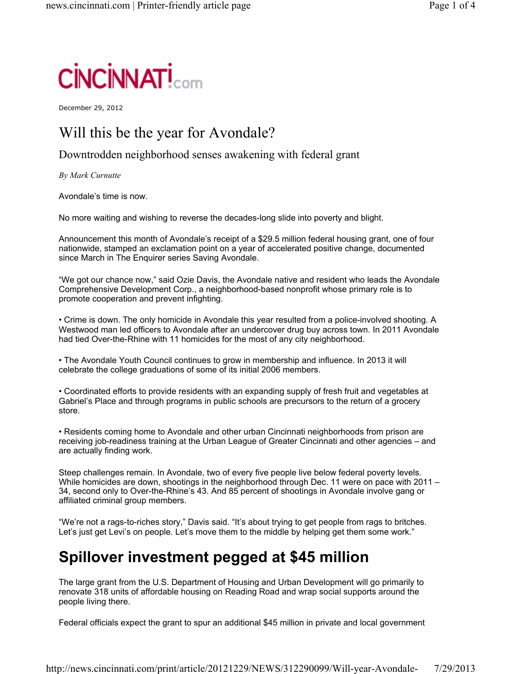

December 29, 2012

#### Will this be the year for Avondale?

Downtrodden neighborhood senses awakening with federal grant

*By Mark Curnutte*

Avondale's time is now.

No more waiting and wishing to reverse the decades-long slide into poverty and blight.

Announcement this month of Avondale's receipt of a \$29.5 million federal housing grant, one of four nationwide, stamped an exclamation point on a year of accelerated positive change, documented since March in The Enquirer series Saving Avondale.

"We got our chance now," said Ozie Davis, the Avondale native and resident who leads the Avondale Comprehensive Development Corp., a neighborhood-based nonprofit whose primary role is to promote cooperation and prevent infighting.

• Crime is down. The only homicide in Avondale this year resulted from a police-involved shooting. A Westwood man led officers to Avondale after an undercover drug buy across town. In 2011 Avondale had tied Over-the-Rhine with 11 homicides for the most of any city neighborhood.

• The Avondale Youth Council continues to grow in membership and influence. In 2013 it will celebrate the college graduations of some of its initial 2006 members.

• Coordinated efforts to provide residents with an expanding supply of fresh fruit and vegetables at Gabriel's Place and through programs in public schools are precursors to the return of a grocery store.

• Residents coming home to Avondale and other urban Cincinnati neighborhoods from prison are receiving job-readiness training at the Urban League of Greater Cincinnati and other agencies – and are actually finding work.

Steep challenges remain. In Avondale, two of every five people live below federal poverty levels. While homicides are down, shootings in the neighborhood through Dec. 11 were on pace with 2011 -34, second only to Over-the-Rhine's 43. And 85 percent of shootings in Avondale involve gang or affiliated criminal group members.

"We're not a rags-to-riches story," Davis said. "It's about trying to get people from rags to britches. Let's just get Levi's on people. Let's move them to the middle by helping get them some work."

# **Spillover investment pegged at \$45 million**

The large grant from the U.S. Department of Housing and Urban Development will go primarily to renovate 318 units of affordable housing on Reading Road and wrap social supports around the people living there.

Federal officials expect the grant to spur an additional \$45 million in private and local government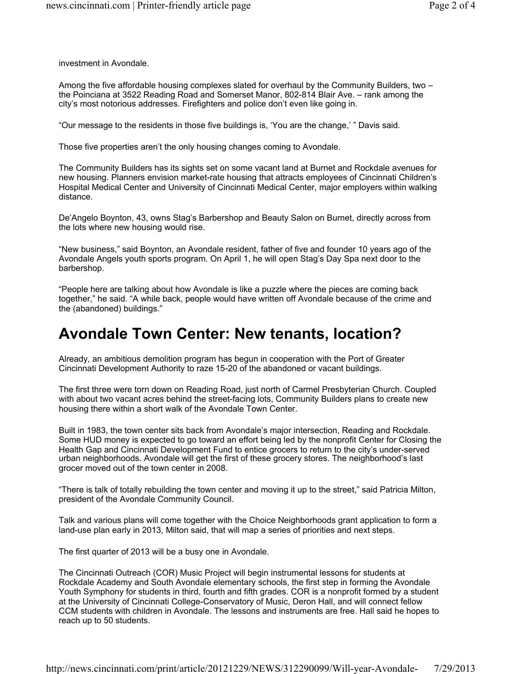investment in Avondale.

Among the five affordable housing complexes slated for overhaul by the Community Builders, two – the Poinciana at 3522 Reading Road and Somerset Manor, 802-814 Blair Ave. – rank among the city's most notorious addresses. Firefighters and police don't even like going in.

"Our message to the residents in those five buildings is, 'You are the change,' " Davis said.

Those five properties aren't the only housing changes coming to Avondale.

The Community Builders has its sights set on some vacant land at Burnet and Rockdale avenues for new housing. Planners envision market-rate housing that attracts employees of Cincinnati Children's Hospital Medical Center and University of Cincinnati Medical Center, major employers within walking distance.

De'Angelo Boynton, 43, owns Stag's Barbershop and Beauty Salon on Burnet, directly across from the lots where new housing would rise.

"New business," said Boynton, an Avondale resident, father of five and founder 10 years ago of the Avondale Angels youth sports program. On April 1, he will open Stag's Day Spa next door to the barbershop.

"People here are talking about how Avondale is like a puzzle where the pieces are coming back together," he said. "A while back, people would have written off Avondale because of the crime and the (abandoned) buildings."

### **Avondale Town Center: New tenants, location?**

Already, an ambitious demolition program has begun in cooperation with the Port of Greater Cincinnati Development Authority to raze 15-20 of the abandoned or vacant buildings.

The first three were torn down on Reading Road, just north of Carmel Presbyterian Church. Coupled with about two vacant acres behind the street-facing lots, Community Builders plans to create new housing there within a short walk of the Avondale Town Center.

Built in 1983, the town center sits back from Avondale's major intersection, Reading and Rockdale. Some HUD money is expected to go toward an effort being led by the nonprofit Center for Closing the Health Gap and Cincinnati Development Fund to entice grocers to return to the city's under-served urban neighborhoods. Avondale will get the first of these grocery stores. The neighborhood's last grocer moved out of the town center in 2008.

"There is talk of totally rebuilding the town center and moving it up to the street," said Patricia Milton, president of the Avondale Community Council.

Talk and various plans will come together with the Choice Neighborhoods grant application to form a land-use plan early in 2013, Milton said, that will map a series of priorities and next steps.

The first quarter of 2013 will be a busy one in Avondale.

The Cincinnati Outreach (COR) Music Project will begin instrumental lessons for students at Rockdale Academy and South Avondale elementary schools, the first step in forming the Avondale Youth Symphony for students in third, fourth and fifth grades. COR is a nonprofit formed by a student at the University of Cincinnati College-Conservatory of Music, Deron Hall, and will connect fellow CCM students with children in Avondale. The lessons and instruments are free. Hall said he hopes to reach up to 50 students.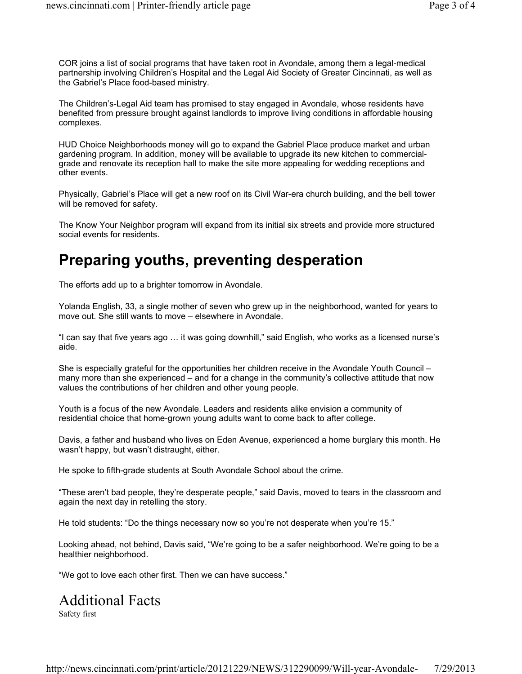COR joins a list of social programs that have taken root in Avondale, among them a legal-medical partnership involving Children's Hospital and the Legal Aid Society of Greater Cincinnati, as well as the Gabriel's Place food-based ministry.

The Children's-Legal Aid team has promised to stay engaged in Avondale, whose residents have benefited from pressure brought against landlords to improve living conditions in affordable housing complexes.

HUD Choice Neighborhoods money will go to expand the Gabriel Place produce market and urban gardening program. In addition, money will be available to upgrade its new kitchen to commercialgrade and renovate its reception hall to make the site more appealing for wedding receptions and other events.

Physically, Gabriel's Place will get a new roof on its Civil War-era church building, and the bell tower will be removed for safety.

The Know Your Neighbor program will expand from its initial six streets and provide more structured social events for residents.

### **Preparing youths, preventing desperation**

The efforts add up to a brighter tomorrow in Avondale.

Yolanda English, 33, a single mother of seven who grew up in the neighborhood, wanted for years to move out. She still wants to move – elsewhere in Avondale.

"I can say that five years ago … it was going downhill," said English, who works as a licensed nurse's aide.

She is especially grateful for the opportunities her children receive in the Avondale Youth Council – many more than she experienced – and for a change in the community's collective attitude that now values the contributions of her children and other young people.

Youth is a focus of the new Avondale. Leaders and residents alike envision a community of residential choice that home-grown young adults want to come back to after college.

Davis, a father and husband who lives on Eden Avenue, experienced a home burglary this month. He wasn't happy, but wasn't distraught, either.

He spoke to fifth-grade students at South Avondale School about the crime.

"These aren't bad people, they're desperate people," said Davis, moved to tears in the classroom and again the next day in retelling the story.

He told students: "Do the things necessary now so you're not desperate when you're 15."

Looking ahead, not behind, Davis said, "We're going to be a safer neighborhood. We're going to be a healthier neighborhood.

"We got to love each other first. Then we can have success."

# Additional Facts

Safety first